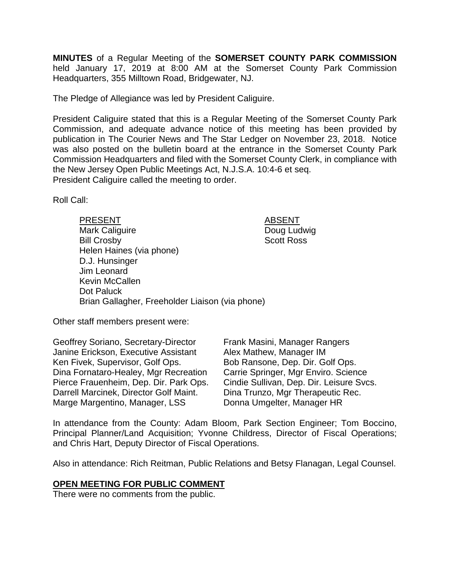**MINUTES** of a Regular Meeting of the **SOMERSET COUNTY PARK COMMISSION** held January 17, 2019 at 8:00 AM at the Somerset County Park Commission Headquarters, 355 Milltown Road, Bridgewater, NJ.

The Pledge of Allegiance was led by President Caliguire.

President Caliguire stated that this is a Regular Meeting of the Somerset County Park Commission, and adequate advance notice of this meeting has been provided by publication in The Courier News and The Star Ledger on November 23, 2018. Notice was also posted on the bulletin board at the entrance in the Somerset County Park Commission Headquarters and filed with the Somerset County Clerk, in compliance with the New Jersey Open Public Meetings Act, N.J.S.A. 10:4-6 et seq. President Caliguire called the meeting to order.

Roll Call:

| <b>PRESENT</b>                                  | <b>ABSENT</b>     |
|-------------------------------------------------|-------------------|
| <b>Mark Caliguire</b>                           | Doug Ludwig       |
| <b>Bill Crosby</b>                              | <b>Scott Ross</b> |
| Helen Haines (via phone)                        |                   |
| D.J. Hunsinger                                  |                   |
| Jim Leonard                                     |                   |
| Kevin McCallen                                  |                   |
| Dot Paluck                                      |                   |
| Brian Gallagher, Freeholder Liaison (via phone) |                   |
|                                                 |                   |

Other staff members present were:

Geoffrey Soriano, Secretary-Director Janine Erickson, Executive Assistant Ken Fivek, Supervisor, Golf Ops. Dina Fornataro-Healey, Mgr Recreation Pierce Frauenheim, Dep. Dir. Park Ops. Darrell Marcinek, Director Golf Maint. Marge Margentino, Manager, LSS

Frank Masini, Manager Rangers Alex Mathew, Manager IM Bob Ransone, Dep. Dir. Golf Ops. Carrie Springer, Mgr Enviro. Science Cindie Sullivan, Dep. Dir. Leisure Svcs. Dina Trunzo, Mgr Therapeutic Rec. Donna Umgelter, Manager HR

In attendance from the County: Adam Bloom, Park Section Engineer; Tom Boccino, Principal Planner/Land Acquisition; Yvonne Childress, Director of Fiscal Operations; and Chris Hart, Deputy Director of Fiscal Operations.

Also in attendance: Rich Reitman, Public Relations and Betsy Flanagan, Legal Counsel.

#### **OPEN MEETING FOR PUBLIC COMMENT**

There were no comments from the public.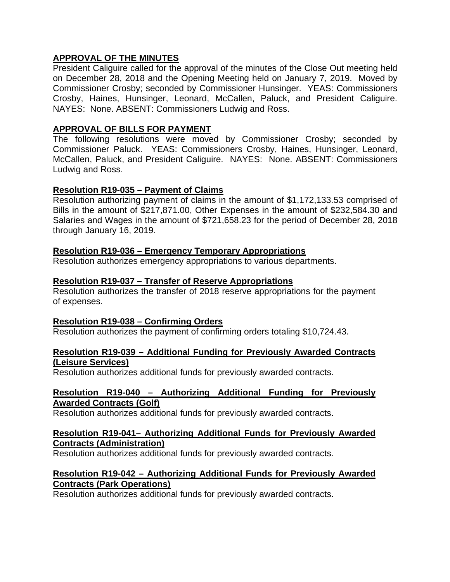## **APPROVAL OF THE MINUTES**

President Caliguire called for the approval of the minutes of the Close Out meeting held on December 28, 2018 and the Opening Meeting held on January 7, 2019. Moved by Commissioner Crosby; seconded by Commissioner Hunsinger. YEAS: Commissioners Crosby, Haines, Hunsinger, Leonard, McCallen, Paluck, and President Caliguire. NAYES: None. ABSENT: Commissioners Ludwig and Ross.

## **APPROVAL OF BILLS FOR PAYMENT**

The following resolutions were moved by Commissioner Crosby; seconded by Commissioner Paluck. YEAS: Commissioners Crosby, Haines, Hunsinger, Leonard, McCallen, Paluck, and President Caliguire. NAYES: None. ABSENT: Commissioners Ludwig and Ross.

## **Resolution R19-035 – Payment of Claims**

Resolution authorizing payment of claims in the amount of \$1,172,133.53 comprised of Bills in the amount of \$217,871.00, Other Expenses in the amount of \$232,584.30 and Salaries and Wages in the amount of \$721,658.23 for the period of December 28, 2018 through January 16, 2019.

## **Resolution R19-036 – Emergency Temporary Appropriations**

Resolution authorizes emergency appropriations to various departments.

## **Resolution R19-037 – Transfer of Reserve Appropriations**

Resolution authorizes the transfer of 2018 reserve appropriations for the payment of expenses.

## **Resolution R19-038 – Confirming Orders**

Resolution authorizes the payment of confirming orders totaling \$10,724.43.

## **Resolution R19-039 – Additional Funding for Previously Awarded Contracts (Leisure Services)**

Resolution authorizes additional funds for previously awarded contracts.

### **Resolution R19-040 – Authorizing Additional Funding for Previously Awarded Contracts (Golf)**

Resolution authorizes additional funds for previously awarded contracts.

### **Resolution R19-041– Authorizing Additional Funds for Previously Awarded Contracts (Administration)**

Resolution authorizes additional funds for previously awarded contracts.

## **Resolution R19-042 – Authorizing Additional Funds for Previously Awarded Contracts (Park Operations)**

Resolution authorizes additional funds for previously awarded contracts.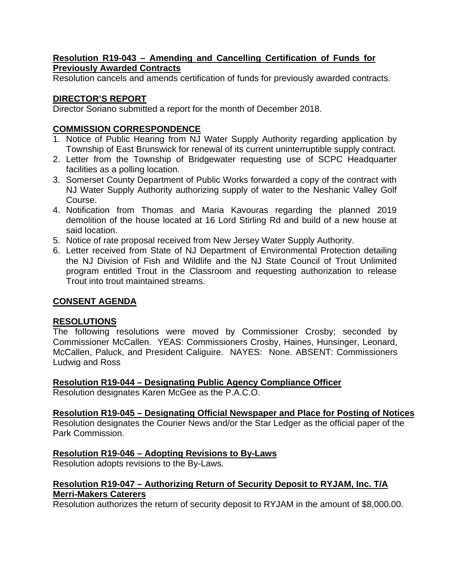## **Resolution R19-043 – Amending and Cancelling Certification of Funds for Previously Awarded Contracts**

Resolution cancels and amends certification of funds for previously awarded contracts.

# **DIRECTOR'S REPORT**

Director Soriano submitted a report for the month of December 2018.

# **COMMISSION CORRESPONDENCE**

- 1. Notice of Public Hearing from NJ Water Supply Authority regarding application by Township of East Brunswick for renewal of its current uninterruptible supply contract.
- 2. Letter from the Township of Bridgewater requesting use of SCPC Headquarter facilities as a polling location.
- 3. Somerset County Department of Public Works forwarded a copy of the contract with NJ Water Supply Authority authorizing supply of water to the Neshanic Valley Golf Course.
- 4. Notification from Thomas and Maria Kavouras regarding the planned 2019 demolition of the house located at 16 Lord Stirling Rd and build of a new house at said location.
- 5. Notice of rate proposal received from New Jersey Water Supply Authority.
- 6. Letter received from State of NJ Department of Environmental Protection detailing the NJ Division of Fish and Wildlife and the NJ State Council of Trout Unlimited program entitled Trout in the Classroom and requesting authorization to release Trout into trout maintained streams.

# **CONSENT AGENDA**

# **RESOLUTIONS**

The following resolutions were moved by Commissioner Crosby; seconded by Commissioner McCallen. YEAS: Commissioners Crosby, Haines, Hunsinger, Leonard, McCallen, Paluck, and President Caliguire. NAYES: None. ABSENT: Commissioners Ludwig and Ross

**Resolution R19-044 – Designating Public Agency Compliance Officer** 

Resolution designates Karen McGee as the P.A.C.O.

**Resolution R19-045 – Designating Official Newspaper and Place for Posting of Notices** 

Resolution designates the Courier News and/or the Star Ledger as the official paper of the Park Commission.

# **Resolution R19-046 – Adopting Revisions to By-Laws**

Resolution adopts revisions to the By-Laws.

# **Resolution R19-047 – Authorizing Return of Security Deposit to RYJAM, Inc. T/A Merri-Makers Caterers**

Resolution authorizes the return of security deposit to RYJAM in the amount of \$8,000.00.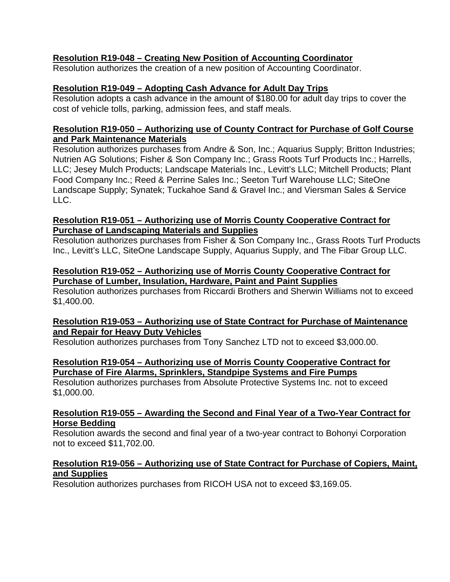## **Resolution R19-048 – Creating New Position of Accounting Coordinator**

Resolution authorizes the creation of a new position of Accounting Coordinator.

## **Resolution R19-049 – Adopting Cash Advance for Adult Day Trips**

Resolution adopts a cash advance in the amount of \$180.00 for adult day trips to cover the cost of vehicle tolls, parking, admission fees, and staff meals.

## **Resolution R19-050 – Authorizing use of County Contract for Purchase of Golf Course and Park Maintenance Materials**

Resolution authorizes purchases from Andre & Son, Inc.; Aquarius Supply; Britton Industries; Nutrien AG Solutions; Fisher & Son Company Inc.; Grass Roots Turf Products Inc.; Harrells, LLC; Jesey Mulch Products; Landscape Materials Inc., Levitt's LLC; Mitchell Products; Plant Food Company Inc.; Reed & Perrine Sales Inc.; Seeton Turf Warehouse LLC; SiteOne Landscape Supply; Synatek; Tuckahoe Sand & Gravel Inc.; and Viersman Sales & Service  $\overline{L}$ 

## **Resolution R19-051 – Authorizing use of Morris County Cooperative Contract for Purchase of Landscaping Materials and Supplies**

Resolution authorizes purchases from Fisher & Son Company Inc., Grass Roots Turf Products Inc., Levitt's LLC, SiteOne Landscape Supply, Aquarius Supply, and The Fibar Group LLC.

## **Resolution R19-052 – Authorizing use of Morris County Cooperative Contract for Purchase of Lumber, Insulation, Hardware, Paint and Paint Supplies**

Resolution authorizes purchases from Riccardi Brothers and Sherwin Williams not to exceed \$1,400.00.

## **Resolution R19-053 – Authorizing use of State Contract for Purchase of Maintenance and Repair for Heavy Duty Vehicles**

Resolution authorizes purchases from Tony Sanchez LTD not to exceed \$3,000.00.

## **Resolution R19-054 – Authorizing use of Morris County Cooperative Contract for Purchase of Fire Alarms, Sprinklers, Standpipe Systems and Fire Pumps**

Resolution authorizes purchases from Absolute Protective Systems Inc. not to exceed \$1,000.00.

## **Resolution R19-055 – Awarding the Second and Final Year of a Two-Year Contract for Horse Bedding**

Resolution awards the second and final year of a two-year contract to Bohonyi Corporation not to exceed \$11,702.00.

## **Resolution R19-056 – Authorizing use of State Contract for Purchase of Copiers, Maint, and Supplies**

Resolution authorizes purchases from RICOH USA not to exceed \$3,169.05.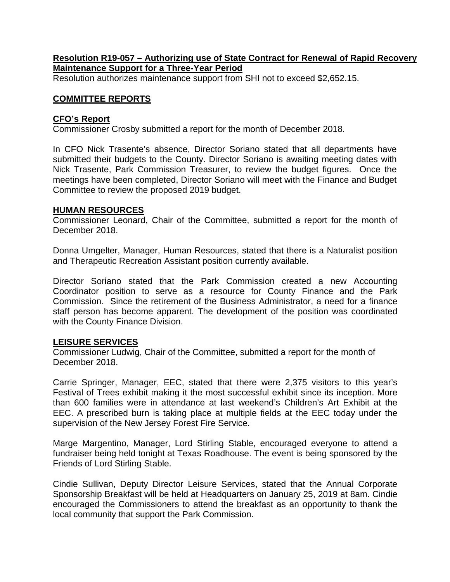## **Resolution R19-057 – Authorizing use of State Contract for Renewal of Rapid Recovery Maintenance Support for a Three-Year Period**

Resolution authorizes maintenance support from SHI not to exceed \$2,652.15.

### **COMMITTEE REPORTS**

#### **CFO's Report**

Commissioner Crosby submitted a report for the month of December 2018.

In CFO Nick Trasente's absence, Director Soriano stated that all departments have submitted their budgets to the County. Director Soriano is awaiting meeting dates with Nick Trasente, Park Commission Treasurer, to review the budget figures. Once the meetings have been completed, Director Soriano will meet with the Finance and Budget Committee to review the proposed 2019 budget.

#### **HUMAN RESOURCES**

Commissioner Leonard, Chair of the Committee, submitted a report for the month of December 2018.

Donna Umgelter, Manager, Human Resources, stated that there is a Naturalist position and Therapeutic Recreation Assistant position currently available.

Director Soriano stated that the Park Commission created a new Accounting Coordinator position to serve as a resource for County Finance and the Park Commission. Since the retirement of the Business Administrator, a need for a finance staff person has become apparent. The development of the position was coordinated with the County Finance Division.

#### **LEISURE SERVICES**

Commissioner Ludwig, Chair of the Committee, submitted a report for the month of December 2018.

Carrie Springer, Manager, EEC, stated that there were 2,375 visitors to this year's Festival of Trees exhibit making it the most successful exhibit since its inception. More than 600 families were in attendance at last weekend's Children's Art Exhibit at the EEC. A prescribed burn is taking place at multiple fields at the EEC today under the supervision of the New Jersey Forest Fire Service.

Marge Margentino, Manager, Lord Stirling Stable, encouraged everyone to attend a fundraiser being held tonight at Texas Roadhouse. The event is being sponsored by the Friends of Lord Stirling Stable.

Cindie Sullivan, Deputy Director Leisure Services, stated that the Annual Corporate Sponsorship Breakfast will be held at Headquarters on January 25, 2019 at 8am. Cindie encouraged the Commissioners to attend the breakfast as an opportunity to thank the local community that support the Park Commission.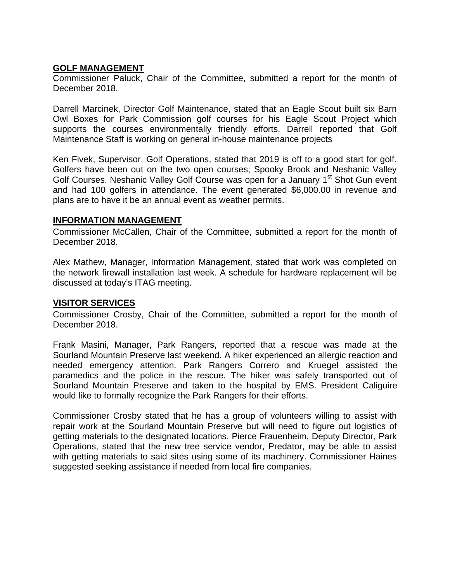## **GOLF MANAGEMENT**

Commissioner Paluck, Chair of the Committee, submitted a report for the month of December 2018.

Darrell Marcinek, Director Golf Maintenance, stated that an Eagle Scout built six Barn Owl Boxes for Park Commission golf courses for his Eagle Scout Project which supports the courses environmentally friendly efforts. Darrell reported that Golf Maintenance Staff is working on general in-house maintenance projects

Ken Fivek, Supervisor, Golf Operations, stated that 2019 is off to a good start for golf. Golfers have been out on the two open courses; Spooky Brook and Neshanic Valley Golf Courses. Neshanic Valley Golf Course was open for a January 1<sup>st</sup> Shot Gun event and had 100 golfers in attendance. The event generated \$6,000.00 in revenue and plans are to have it be an annual event as weather permits.

### **INFORMATION MANAGEMENT**

Commissioner McCallen, Chair of the Committee, submitted a report for the month of December 2018.

Alex Mathew, Manager, Information Management, stated that work was completed on the network firewall installation last week. A schedule for hardware replacement will be discussed at today's ITAG meeting.

## **VISITOR SERVICES**

Commissioner Crosby, Chair of the Committee, submitted a report for the month of December 2018.

Frank Masini, Manager, Park Rangers, reported that a rescue was made at the Sourland Mountain Preserve last weekend. A hiker experienced an allergic reaction and needed emergency attention. Park Rangers Correro and Kruegel assisted the paramedics and the police in the rescue. The hiker was safely transported out of Sourland Mountain Preserve and taken to the hospital by EMS. President Caliguire would like to formally recognize the Park Rangers for their efforts.

Commissioner Crosby stated that he has a group of volunteers willing to assist with repair work at the Sourland Mountain Preserve but will need to figure out logistics of getting materials to the designated locations. Pierce Frauenheim, Deputy Director, Park Operations, stated that the new tree service vendor, Predator, may be able to assist with getting materials to said sites using some of its machinery. Commissioner Haines suggested seeking assistance if needed from local fire companies.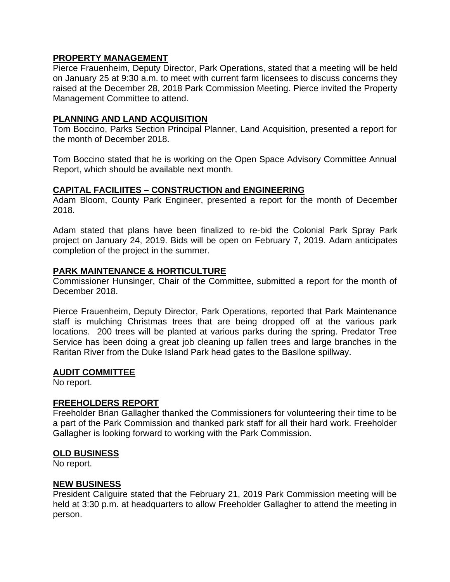## **PROPERTY MANAGEMENT**

Pierce Frauenheim, Deputy Director, Park Operations, stated that a meeting will be held on January 25 at 9:30 a.m. to meet with current farm licensees to discuss concerns they raised at the December 28, 2018 Park Commission Meeting. Pierce invited the Property Management Committee to attend.

## **PLANNING AND LAND ACQUISITION**

Tom Boccino, Parks Section Principal Planner, Land Acquisition, presented a report for the month of December 2018.

Tom Boccino stated that he is working on the Open Space Advisory Committee Annual Report, which should be available next month.

## **CAPITAL FACILIITES – CONSTRUCTION and ENGINEERING**

Adam Bloom, County Park Engineer, presented a report for the month of December 2018.

Adam stated that plans have been finalized to re-bid the Colonial Park Spray Park project on January 24, 2019. Bids will be open on February 7, 2019. Adam anticipates completion of the project in the summer.

## **PARK MAINTENANCE & HORTICULTURE**

Commissioner Hunsinger, Chair of the Committee, submitted a report for the month of December 2018.

Pierce Frauenheim, Deputy Director, Park Operations, reported that Park Maintenance staff is mulching Christmas trees that are being dropped off at the various park locations. 200 trees will be planted at various parks during the spring. Predator Tree Service has been doing a great job cleaning up fallen trees and large branches in the Raritan River from the Duke Island Park head gates to the Basilone spillway.

#### **AUDIT COMMITTEE**

No report.

## **FREEHOLDERS REPORT**

Freeholder Brian Gallagher thanked the Commissioners for volunteering their time to be a part of the Park Commission and thanked park staff for all their hard work. Freeholder Gallagher is looking forward to working with the Park Commission.

## **OLD BUSINESS**

No report.

## **NEW BUSINESS**

President Caliguire stated that the February 21, 2019 Park Commission meeting will be held at 3:30 p.m. at headquarters to allow Freeholder Gallagher to attend the meeting in person.